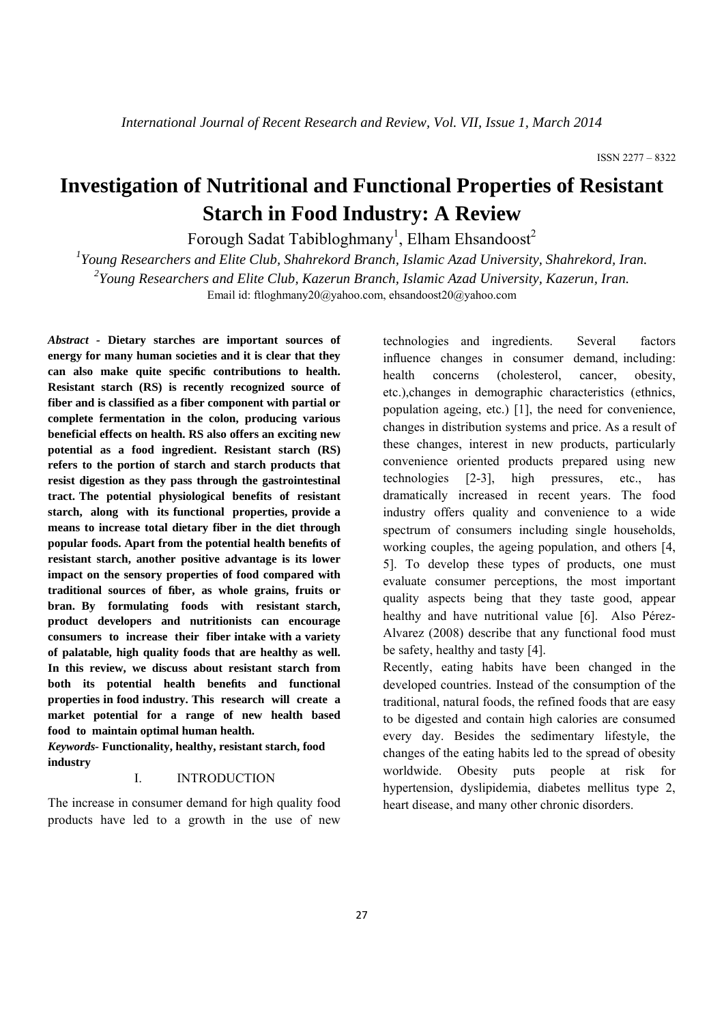# **Investigation of Nutritional and Functional Properties of Resistant Starch in Food Industry: A Review**

Forough Sadat Tabibloghmany<sup>1</sup>, Elham Ehsandoost<sup>2</sup>

*1 Young Researchers and Elite Club, Shahrekord Branch, Islamic Azad University, Shahrekord, Iran. 2 Young Researchers and Elite Club, Kazerun Branch, Islamic Azad University, Kazerun, Iran.* 

Email id: ftloghmany20@yahoo.com, ehsandoost20@yahoo.com

*Abstract -* **Dietary starches are important sources of energy for many human societies and it is clear that they can also make quite specific contributions to health. Resistant starch (RS) is recently recognized source of fiber and is classified as a fiber component with partial or complete fermentation in the colon, producing various beneficial effects on health. RS also offers an exciting new potential as a food ingredient. Resistant starch (RS) refers to the portion of starch and starch products that resist digestion as they pass through the gastrointestinal tract. The potential physiological benefits of resistant starch, along with its functional properties, provide a means to increase total dietary fiber in the diet through popular foods. Apart from the potential health benefits of resistant starch, another positive advantage is its lower impact on the sensory properties of food compared with traditional sources of fiber, as whole grains, fruits or bran. By formulating foods with resistant starch, product developers and nutritionists can encourage consumers to increase their fiber intake with a variety of palatable, high quality foods that are healthy as well. In this review, we discuss about resistant starch from both its potential health benefits and functional properties in food industry. This research will create a market potential for a range of new health based food to maintain optimal human health.** 

*Keywords-* **Functionality, healthy, resistant starch, food industry**

# I. INTRODUCTION

The increase in consumer demand for high quality food products have led to a growth in the use of new

technologies and ingredients. Several factors influence changes in consumer demand, including: health concerns (cholesterol, cancer, obesity, etc.),changes in demographic characteristics (ethnics, population ageing, etc.) [1], the need for convenience, changes in distribution systems and price. As a result of these changes, interest in new products, particularly convenience oriented products prepared using new technologies [2-3], high pressures, etc., has dramatically increased in recent years. The food industry offers quality and convenience to a wide spectrum of consumers including single households, working couples, the ageing population, and others [4, 5]. To develop these types of products, one must evaluate consumer perceptions, the most important quality aspects being that they taste good, appear healthy and have nutritional value [6]. Also Pérez-Alvarez (2008) describe that any functional food must be safety, healthy and tasty [4].

Recently, eating habits have been changed in the developed countries. Instead of the consumption of the traditional, natural foods, the refined foods that are easy to be digested and contain high calories are consumed every day. Besides the sedimentary lifestyle, the changes of the eating habits led to the spread of obesity worldwide. Obesity puts people at risk for hypertension, dyslipidemia, diabetes mellitus type 2, heart disease, and many other chronic disorders.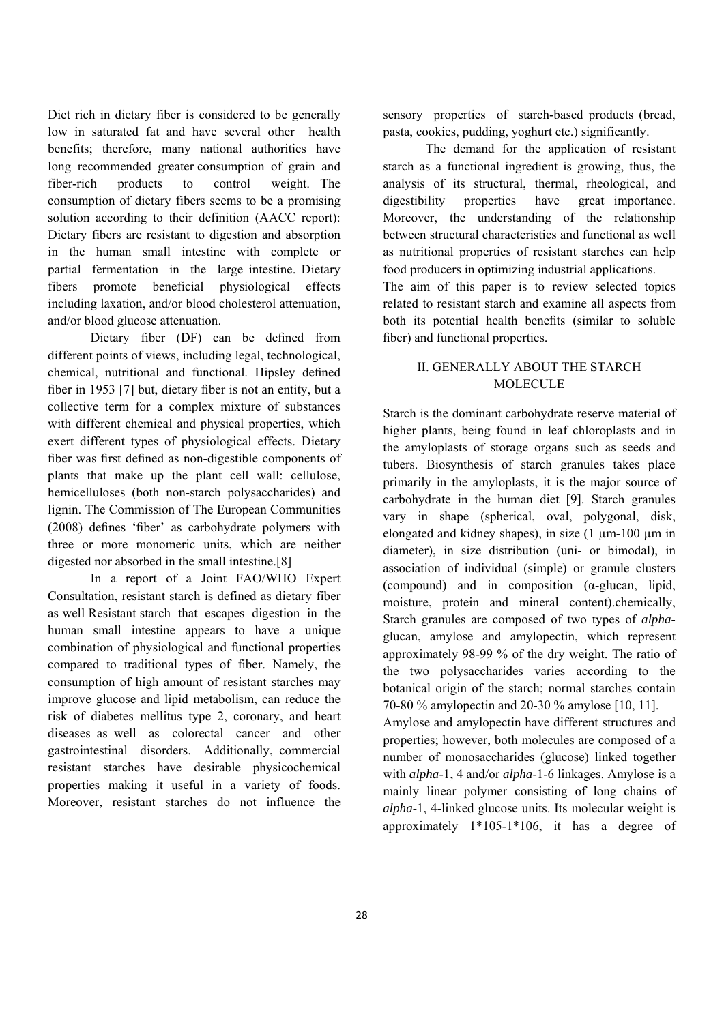Diet rich in dietary fiber is considered to be generally low in saturated fat and have several other health benefits; therefore, many national authorities have long recommended greater consumption of grain and fiber-rich products to control weight. The consumption of dietary fibers seems to be a promising solution according to their definition (AACC report): Dietary fibers are resistant to digestion and absorption in the human small intestine with complete or partial fermentation in the large intestine. Dietary fibers promote beneficial physiological effects including laxation, and/or blood cholesterol attenuation, and/or blood glucose attenuation.

Dietary fiber (DF) can be defined from different points of views, including legal, technological, chemical, nutritional and functional. Hipsley defined fiber in 1953 [7] but, dietary fiber is not an entity, but a collective term for a complex mixture of substances with different chemical and physical properties, which exert different types of physiological effects. Dietary fiber was first defined as non-digestible components of plants that make up the plant cell wall: cellulose, hemicelluloses (both non-starch polysaccharides) and lignin. The Commission of The European Communities (2008) defines 'fiber' as carbohydrate polymers with three or more monomeric units, which are neither digested nor absorbed in the small intestine.[8]

In a report of a Joint FAO/WHO Expert Consultation, resistant starch is defined as dietary fiber as well Resistant starch that escapes digestion in the human small intestine appears to have a unique combination of physiological and functional properties compared to traditional types of fiber. Namely, the consumption of high amount of resistant starches may improve glucose and lipid metabolism, can reduce the risk of diabetes mellitus type 2, coronary, and heart diseases as well as colorectal cancer and other gastrointestinal disorders. Additionally, commercial resistant starches have desirable physicochemical properties making it useful in a variety of foods. Moreover, resistant starches do not influence the sensory properties of starch-based products (bread, pasta, cookies, pudding, yoghurt etc.) significantly.

The demand for the application of resistant starch as a functional ingredient is growing, thus, the analysis of its structural, thermal, rheological, and digestibility properties have great importance. Moreover, the understanding of the relationship between structural characteristics and functional as well as nutritional properties of resistant starches can help food producers in optimizing industrial applications.

The aim of this paper is to review selected topics related to resistant starch and examine all aspects from both its potential health benefits (similar to soluble fiber) and functional properties.

# II. GENERALLY ABOUT THE STARCH MOLECULE

Starch is the dominant carbohydrate reserve material of higher plants, being found in leaf chloroplasts and in the amyloplasts of storage organs such as seeds and tubers. Biosynthesis of starch granules takes place primarily in the amyloplasts, it is the major source of carbohydrate in the human diet [9]. Starch granules vary in shape (spherical, oval, polygonal, disk, elongated and kidney shapes), in size  $(1 \mu m-100 \mu m)$  in diameter), in size distribution (uni- or bimodal), in association of individual (simple) or granule clusters (compound) and in composition (α-glucan, lipid, moisture, protein and mineral content).chemically, Starch granules are composed of two types of *alpha*glucan, amylose and amylopectin, which represent approximately 98-99 % of the dry weight. The ratio of the two polysaccharides varies according to the botanical origin of the starch; normal starches contain 70-80 % amylopectin and 20-30 % amylose [10, 11].

Amylose and amylopectin have different structures and properties; however, both molecules are composed of a number of monosaccharides (glucose) linked together with *alpha*-1, 4 and/or *alpha*-1-6 linkages. Amylose is a mainly linear polymer consisting of long chains of *alpha*-1, 4-linked glucose units. Its molecular weight is approximately 1\*105-1\*106, it has a degree of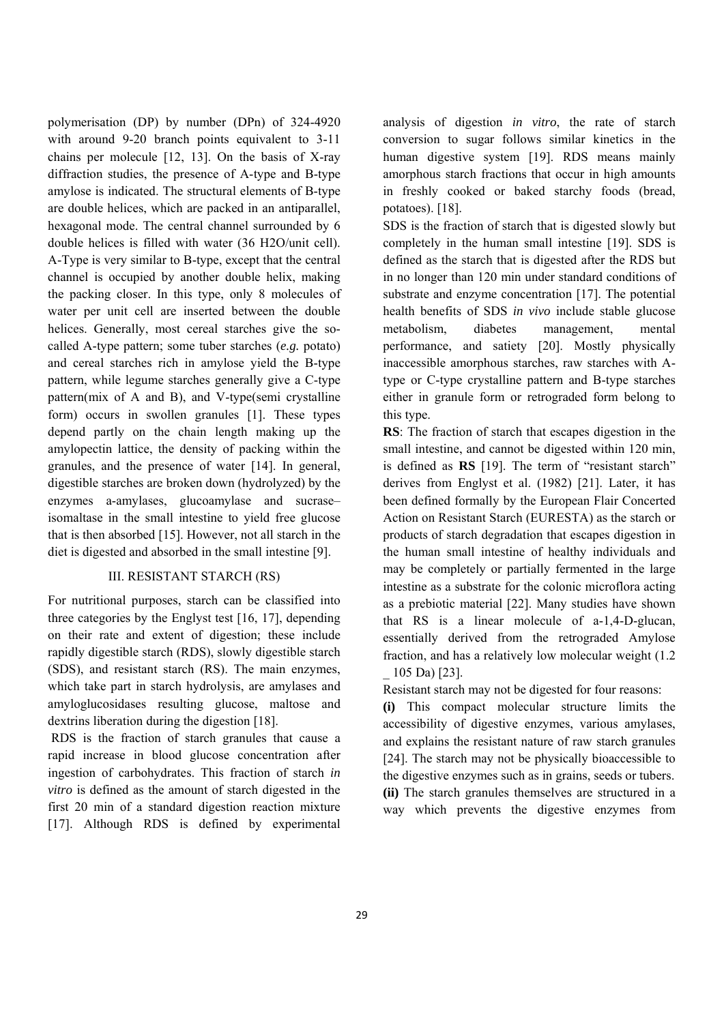polymerisation (DP) by number (DPn) of 324-4920 with around 9-20 branch points equivalent to 3-11 chains per molecule [12, 13]. On the basis of X-ray diffraction studies, the presence of A-type and B-type amylose is indicated. The structural elements of B-type are double helices, which are packed in an antiparallel, hexagonal mode. The central channel surrounded by 6 double helices is filled with water (36 H2O/unit cell). A-Type is very similar to B-type, except that the central channel is occupied by another double helix, making the packing closer. In this type, only 8 molecules of water per unit cell are inserted between the double helices. Generally, most cereal starches give the socalled A-type pattern; some tuber starches (*e.g.* potato) and cereal starches rich in amylose yield the B-type pattern, while legume starches generally give a C-type pattern(mix of A and B), and V-type(semi crystalline form) occurs in swollen granules [1]. These types depend partly on the chain length making up the amylopectin lattice, the density of packing within the granules, and the presence of water [14]. In general, digestible starches are broken down (hydrolyzed) by the enzymes a-amylases, glucoamylase and sucrase– isomaltase in the small intestine to yield free glucose that is then absorbed [15]. However, not all starch in the diet is digested and absorbed in the small intestine [9].

### III. RESISTANT STARCH (RS)

For nutritional purposes, starch can be classified into three categories by the Englyst test [16, 17], depending on their rate and extent of digestion; these include rapidly digestible starch (RDS), slowly digestible starch (SDS), and resistant starch (RS). The main enzymes, which take part in starch hydrolysis, are amylases and amyloglucosidases resulting glucose, maltose and dextrins liberation during the digestion [18].

 RDS is the fraction of starch granules that cause a rapid increase in blood glucose concentration after ingestion of carbohydrates. This fraction of starch *in vitro* is defined as the amount of starch digested in the first 20 min of a standard digestion reaction mixture [17]. Although RDS is defined by experimental

analysis of digestion *in vitro*, the rate of starch conversion to sugar follows similar kinetics in the human digestive system [19]. RDS means mainly amorphous starch fractions that occur in high amounts in freshly cooked or baked starchy foods (bread, potatoes). [18].

SDS is the fraction of starch that is digested slowly but completely in the human small intestine [19]. SDS is defined as the starch that is digested after the RDS but in no longer than 120 min under standard conditions of substrate and enzyme concentration [17]. The potential health benefits of SDS *in vivo* include stable glucose metabolism, diabetes management, mental performance, and satiety [20]. Mostly physically inaccessible amorphous starches, raw starches with Atype or C-type crystalline pattern and B-type starches either in granule form or retrograded form belong to this type.

**RS**: The fraction of starch that escapes digestion in the small intestine, and cannot be digested within 120 min, is defined as **RS** [19]. The term of "resistant starch" derives from Englyst et al. (1982) [21]. Later, it has been defined formally by the European Flair Concerted Action on Resistant Starch (EURESTA) as the starch or products of starch degradation that escapes digestion in the human small intestine of healthy individuals and may be completely or partially fermented in the large intestine as a substrate for the colonic microflora acting as a prebiotic material [22]. Many studies have shown that RS is a linear molecule of a-1,4-D-glucan, essentially derived from the retrograded Amylose fraction, and has a relatively low molecular weight (1.2 \_ 105 Da) [23].

Resistant starch may not be digested for four reasons:

**(i)** This compact molecular structure limits the accessibility of digestive enzymes, various amylases, and explains the resistant nature of raw starch granules [24]. The starch may not be physically bioaccessible to the digestive enzymes such as in grains, seeds or tubers. **(ii)** The starch granules themselves are structured in a way which prevents the digestive enzymes from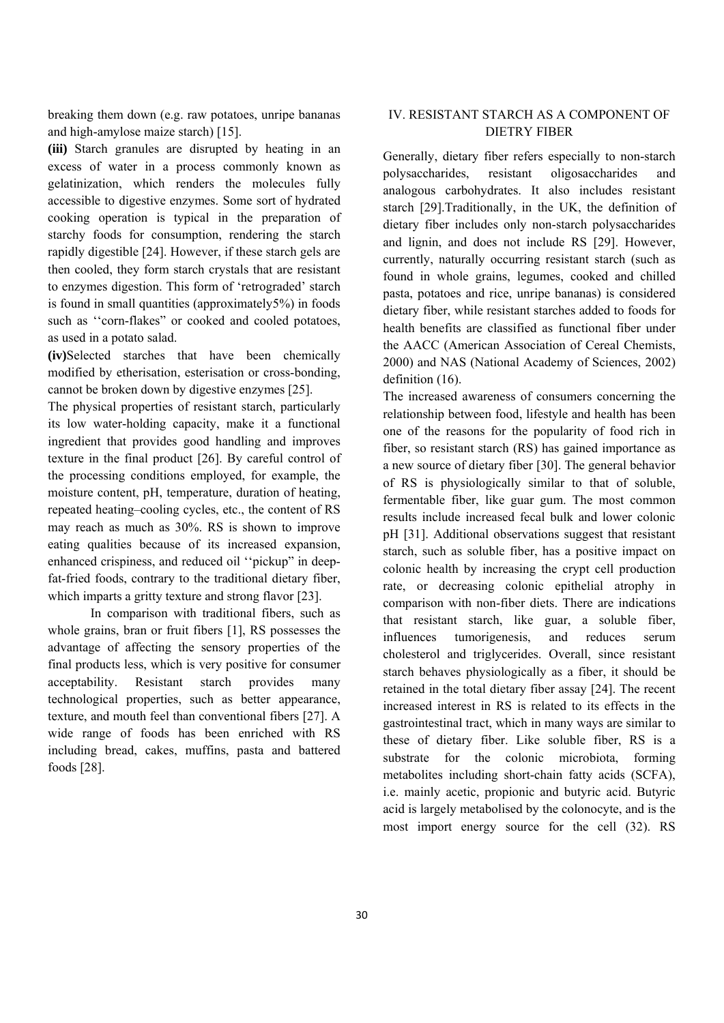breaking them down (e.g. raw potatoes, unripe bananas and high-amylose maize starch) [15].

**(iii)** Starch granules are disrupted by heating in an excess of water in a process commonly known as gelatinization, which renders the molecules fully accessible to digestive enzymes. Some sort of hydrated cooking operation is typical in the preparation of starchy foods for consumption, rendering the starch rapidly digestible [24]. However, if these starch gels are then cooled, they form starch crystals that are resistant to enzymes digestion. This form of 'retrograded' starch is found in small quantities (approximately5%) in foods such as ''corn-flakes" or cooked and cooled potatoes, as used in a potato salad.

**(iv)**Selected starches that have been chemically modified by etherisation, esterisation or cross-bonding, cannot be broken down by digestive enzymes [25].

The physical properties of resistant starch, particularly its low water-holding capacity, make it a functional ingredient that provides good handling and improves texture in the final product [26]. By careful control of the processing conditions employed, for example, the moisture content, pH, temperature, duration of heating, repeated heating–cooling cycles, etc., the content of RS may reach as much as 30%. RS is shown to improve eating qualities because of its increased expansion, enhanced crispiness, and reduced oil ''pickup" in deepfat-fried foods, contrary to the traditional dietary fiber, which imparts a gritty texture and strong flavor [23].

In comparison with traditional fibers, such as whole grains, bran or fruit fibers [1], RS possesses the advantage of affecting the sensory properties of the final products less, which is very positive for consumer acceptability. Resistant starch provides many technological properties, such as better appearance, texture, and mouth feel than conventional fibers [27]. A wide range of foods has been enriched with RS including bread, cakes, muffins, pasta and battered foods [28].

# IV. RESISTANT STARCH AS A COMPONENT OF DIETRY FIBER

Generally, dietary fiber refers especially to non-starch polysaccharides, resistant oligosaccharides and analogous carbohydrates. It also includes resistant starch [29].Traditionally, in the UK, the definition of dietary fiber includes only non-starch polysaccharides and lignin, and does not include RS [29]. However, currently, naturally occurring resistant starch (such as found in whole grains, legumes, cooked and chilled pasta, potatoes and rice, unripe bananas) is considered dietary fiber, while resistant starches added to foods for health benefits are classified as functional fiber under the AACC (American Association of Cereal Chemists, 2000) and NAS (National Academy of Sciences, 2002) definition (16).

The increased awareness of consumers concerning the relationship between food, lifestyle and health has been one of the reasons for the popularity of food rich in fiber, so resistant starch (RS) has gained importance as a new source of dietary fiber [30]. The general behavior of RS is physiologically similar to that of soluble, fermentable fiber, like guar gum. The most common results include increased fecal bulk and lower colonic pH [31]. Additional observations suggest that resistant starch, such as soluble fiber, has a positive impact on colonic health by increasing the crypt cell production rate, or decreasing colonic epithelial atrophy in comparison with non-fiber diets. There are indications that resistant starch, like guar, a soluble fiber, influences tumorigenesis, and reduces serum cholesterol and triglycerides. Overall, since resistant starch behaves physiologically as a fiber, it should be retained in the total dietary fiber assay [24]. The recent increased interest in RS is related to its effects in the gastrointestinal tract, which in many ways are similar to these of dietary fiber. Like soluble fiber, RS is a substrate for the colonic microbiota, forming metabolites including short-chain fatty acids (SCFA), i.e. mainly acetic, propionic and butyric acid. Butyric acid is largely metabolised by the colonocyte, and is the most import energy source for the cell (32). RS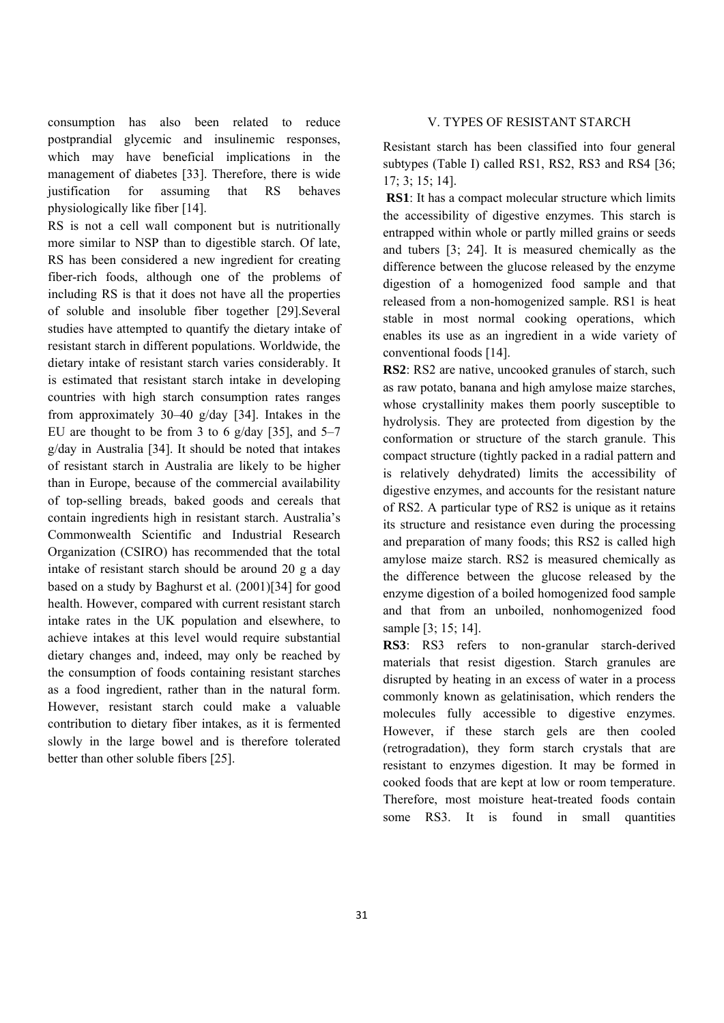consumption has also been related to reduce postprandial glycemic and insulinemic responses, which may have beneficial implications in the management of diabetes [33]. Therefore, there is wide justification for assuming that RS behaves physiologically like fiber [14].

RS is not a cell wall component but is nutritionally more similar to NSP than to digestible starch. Of late, RS has been considered a new ingredient for creating fiber-rich foods, although one of the problems of including RS is that it does not have all the properties of soluble and insoluble fiber together [29].Several studies have attempted to quantify the dietary intake of resistant starch in different populations. Worldwide, the dietary intake of resistant starch varies considerably. It is estimated that resistant starch intake in developing countries with high starch consumption rates ranges from approximately 30–40 g/day [34]. Intakes in the EU are thought to be from 3 to 6 g/day [35], and  $5-7$ g/day in Australia [34]. It should be noted that intakes of resistant starch in Australia are likely to be higher than in Europe, because of the commercial availability of top-selling breads, baked goods and cereals that contain ingredients high in resistant starch. Australia's Commonwealth Scientific and Industrial Research Organization (CSIRO) has recommended that the total intake of resistant starch should be around 20 g a day based on a study by Baghurst et al. (2001)[34] for good health. However, compared with current resistant starch intake rates in the UK population and elsewhere, to achieve intakes at this level would require substantial dietary changes and, indeed, may only be reached by the consumption of foods containing resistant starches as a food ingredient, rather than in the natural form. However, resistant starch could make a valuable contribution to dietary fiber intakes, as it is fermented slowly in the large bowel and is therefore tolerated better than other soluble fibers [25].

## V. TYPES OF RESISTANT STARCH

Resistant starch has been classified into four general subtypes (Table I) called RS1, RS2, RS3 and RS4 [36; 17; 3; 15; 14].

**RS1**: It has a compact molecular structure which limits the accessibility of digestive enzymes. This starch is entrapped within whole or partly milled grains or seeds and tubers [3; 24]. It is measured chemically as the difference between the glucose released by the enzyme digestion of a homogenized food sample and that released from a non-homogenized sample. RS1 is heat stable in most normal cooking operations, which enables its use as an ingredient in a wide variety of conventional foods [14].

**RS2**: RS2 are native, uncooked granules of starch, such as raw potato, banana and high amylose maize starches, whose crystallinity makes them poorly susceptible to hydrolysis. They are protected from digestion by the conformation or structure of the starch granule. This compact structure (tightly packed in a radial pattern and is relatively dehydrated) limits the accessibility of digestive enzymes, and accounts for the resistant nature of RS2. A particular type of RS2 is unique as it retains its structure and resistance even during the processing and preparation of many foods; this RS2 is called high amylose maize starch. RS2 is measured chemically as the difference between the glucose released by the enzyme digestion of a boiled homogenized food sample and that from an unboiled, nonhomogenized food sample [3; 15; 14].

**RS3**: RS3 refers to non-granular starch-derived materials that resist digestion. Starch granules are disrupted by heating in an excess of water in a process commonly known as gelatinisation, which renders the molecules fully accessible to digestive enzymes. However, if these starch gels are then cooled (retrogradation), they form starch crystals that are resistant to enzymes digestion. It may be formed in cooked foods that are kept at low or room temperature. Therefore, most moisture heat-treated foods contain some RS3. It is found in small quantities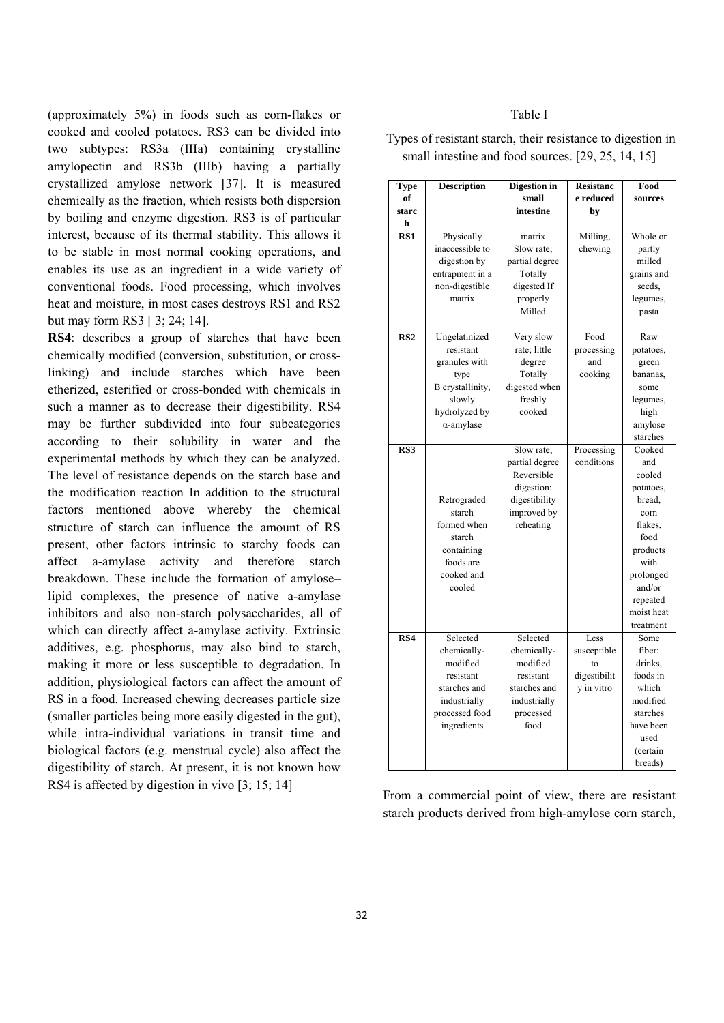(approximately 5%) in foods such as corn-flakes or cooked and cooled potatoes. RS3 can be divided into two subtypes: RS3a (IIIa) containing crystalline amylopectin and RS3b (IIIb) having a partially crystallized amylose network [37]. It is measured chemically as the fraction, which resists both dispersion by boiling and enzyme digestion. RS3 is of particular interest, because of its thermal stability. This allows it to be stable in most normal cooking operations, and enables its use as an ingredient in a wide variety of conventional foods. Food processing, which involves heat and moisture, in most cases destroys RS1 and RS2 but may form RS3 [ 3; 24; 14].

**RS4**: describes a group of starches that have been chemically modified (conversion, substitution, or crosslinking) and include starches which have been etherized, esterified or cross-bonded with chemicals in such a manner as to decrease their digestibility. RS4 may be further subdivided into four subcategories according to their solubility in water and the experimental methods by which they can be analyzed. The level of resistance depends on the starch base and the modification reaction In addition to the structural factors mentioned above whereby the chemical structure of starch can influence the amount of RS present, other factors intrinsic to starchy foods can affect a-amylase activity and therefore starch breakdown. These include the formation of amylose– lipid complexes, the presence of native a-amylase inhibitors and also non-starch polysaccharides, all of which can directly affect a-amylase activity. Extrinsic additives, e.g. phosphorus, may also bind to starch, making it more or less susceptible to degradation. In addition, physiological factors can affect the amount of RS in a food. Increased chewing decreases particle size (smaller particles being more easily digested in the gut), while intra-individual variations in transit time and biological factors (e.g. menstrual cycle) also affect the digestibility of starch. At present, it is not known how RS4 is affected by digestion in vivo [3; 15; 14]

## Table I

| Types of resistant starch, their resistance to digestion in |  |  |
|-------------------------------------------------------------|--|--|
| small intestine and food sources. [29, 25, 14, 15]          |  |  |

| <b>Type</b>     | <b>Description</b> | <b>Digestion</b> in | <b>Resistanc</b> | Food       |
|-----------------|--------------------|---------------------|------------------|------------|
| of              |                    | small               | e reduced        | sources    |
| starc           |                    | intestine           | by               |            |
| h               |                    |                     |                  |            |
| RS1             | Physically         | matrix              | Milling,         | Whole or   |
|                 | inaccessible to    | Slow rate;          | chewing          | partly     |
|                 | digestion by       | partial degree      |                  | milled     |
|                 | entrapment in a    | Totally             |                  | grains and |
|                 | non-digestible     | digested If         |                  | seeds,     |
|                 | matrix             | properly            |                  | legumes,   |
|                 |                    | Milled              |                  | pasta      |
|                 |                    |                     |                  |            |
| RS2             | Ungelatinized      | Very slow           | Food             | Raw        |
|                 | resistant          | rate; little        | processing       | potatoes,  |
|                 | granules with      | degree              | and              | green      |
|                 | type               | Totally             | cooking          | bananas.   |
|                 | B crystallinity,   | digested when       |                  | some       |
|                 | slowly             | freshly             |                  | legumes,   |
|                 | hydrolyzed by      | cooked              |                  | high       |
|                 | $\alpha$ -amylase  |                     |                  | amylose    |
|                 |                    |                     |                  | starches   |
| RS <sub>3</sub> |                    | Slow rate;          | Processing       | Cooked     |
|                 |                    | partial degree      | conditions       | and        |
|                 |                    | Reversible          |                  | cooled     |
|                 |                    | digestion:          |                  | potatoes,  |
|                 | Retrograded        | digestibility       |                  | bread.     |
|                 | starch             | improved by         |                  | corn       |
|                 | formed when        | reheating           |                  | flakes,    |
|                 | starch             |                     |                  | food       |
|                 | containing         |                     |                  | products   |
|                 | foods are          |                     |                  | with       |
|                 | cooked and         |                     |                  | prolonged  |
|                 | cooled             |                     |                  | and/or     |
|                 |                    |                     |                  | repeated   |
|                 |                    |                     |                  | moist heat |
|                 |                    |                     |                  | treatment  |
| RS4             | Selected           | Selected            | Less             | Some       |
|                 | chemically-        | chemically-         | susceptible      | fiber:     |
|                 | modified           | modified            | to               | drinks,    |
|                 | resistant          | resistant           | digestibilit     | foods in   |
|                 | starches and       | starches and        | y in vitro       | which      |
|                 | industrially       | industrially        |                  | modified   |
|                 | processed food     | processed           |                  | starches   |
|                 | ingredients        | food                |                  | have been  |
|                 |                    |                     |                  | used       |
|                 |                    |                     |                  | (certain   |
|                 |                    |                     |                  | breads)    |

From a commercial point of view, there are resistant starch products derived from high-amylose corn starch,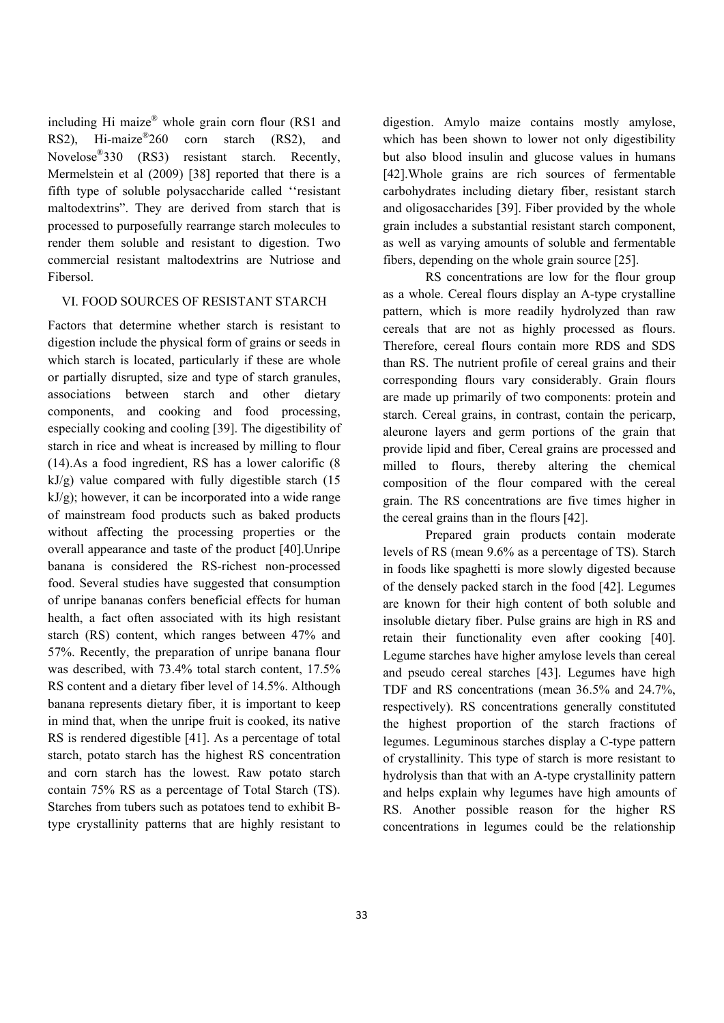including Hi maize® whole grain corn flour (RS1 and RS2), Hi-maize®260 corn starch (RS2), and Novelose®330 (RS3) resistant starch. Recently, Mermelstein et al (2009) [38] reported that there is a fifth type of soluble polysaccharide called ''resistant maltodextrins". They are derived from starch that is processed to purposefully rearrange starch molecules to render them soluble and resistant to digestion. Two commercial resistant maltodextrins are Nutriose and Fibersol.

# VI. FOOD SOURCES OF RESISTANT STARCH

Factors that determine whether starch is resistant to digestion include the physical form of grains or seeds in which starch is located, particularly if these are whole or partially disrupted, size and type of starch granules, associations between starch and other dietary components, and cooking and food processing, especially cooking and cooling [39]. The digestibility of starch in rice and wheat is increased by milling to flour (14).As a food ingredient, RS has a lower calorific (8  $kJ/g$ ) value compared with fully digestible starch (15  $kJ/g$ ); however, it can be incorporated into a wide range of mainstream food products such as baked products without affecting the processing properties or the overall appearance and taste of the product [40].Unripe banana is considered the RS-richest non-processed food. Several studies have suggested that consumption of unripe bananas confers beneficial effects for human health, a fact often associated with its high resistant starch (RS) content, which ranges between 47% and 57%. Recently, the preparation of unripe banana flour was described, with 73.4% total starch content, 17.5% RS content and a dietary fiber level of 14.5%. Although banana represents dietary fiber, it is important to keep in mind that, when the unripe fruit is cooked, its native RS is rendered digestible [41]. As a percentage of total starch, potato starch has the highest RS concentration and corn starch has the lowest. Raw potato starch contain 75% RS as a percentage of Total Starch (TS). Starches from tubers such as potatoes tend to exhibit Btype crystallinity patterns that are highly resistant to

digestion. Amylo maize contains mostly amylose, which has been shown to lower not only digestibility but also blood insulin and glucose values in humans [42].Whole grains are rich sources of fermentable carbohydrates including dietary fiber, resistant starch and oligosaccharides [39]. Fiber provided by the whole grain includes a substantial resistant starch component, as well as varying amounts of soluble and fermentable fibers, depending on the whole grain source [25].

RS concentrations are low for the flour group as a whole. Cereal flours display an A-type crystalline pattern, which is more readily hydrolyzed than raw cereals that are not as highly processed as flours. Therefore, cereal flours contain more RDS and SDS than RS. The nutrient profile of cereal grains and their corresponding flours vary considerably. Grain flours are made up primarily of two components: protein and starch. Cereal grains, in contrast, contain the pericarp, aleurone layers and germ portions of the grain that provide lipid and fiber, Cereal grains are processed and milled to flours, thereby altering the chemical composition of the flour compared with the cereal grain. The RS concentrations are five times higher in the cereal grains than in the flours [42].

Prepared grain products contain moderate levels of RS (mean 9.6% as a percentage of TS). Starch in foods like spaghetti is more slowly digested because of the densely packed starch in the food [42]. Legumes are known for their high content of both soluble and insoluble dietary fiber. Pulse grains are high in RS and retain their functionality even after cooking [40]. Legume starches have higher amylose levels than cereal and pseudo cereal starches [43]. Legumes have high TDF and RS concentrations (mean 36.5% and 24.7%, respectively). RS concentrations generally constituted the highest proportion of the starch fractions of legumes. Leguminous starches display a C-type pattern of crystallinity. This type of starch is more resistant to hydrolysis than that with an A-type crystallinity pattern and helps explain why legumes have high amounts of RS. Another possible reason for the higher RS concentrations in legumes could be the relationship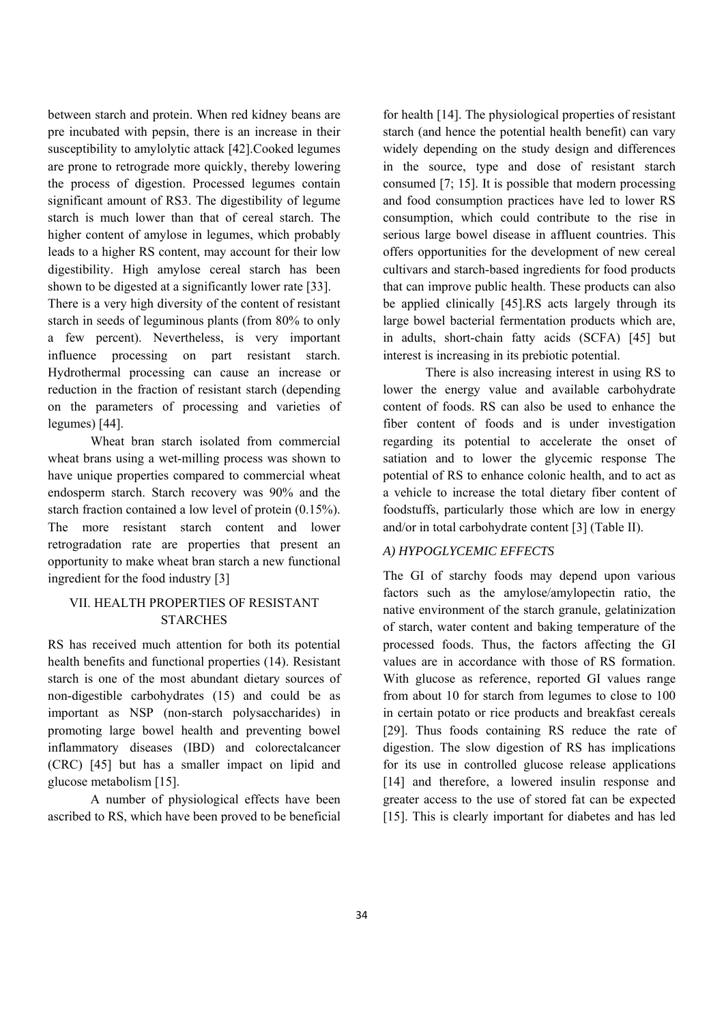between starch and protein. When red kidney beans are pre incubated with pepsin, there is an increase in their susceptibility to amylolytic attack [42].Cooked legumes are prone to retrograde more quickly, thereby lowering the process of digestion. Processed legumes contain significant amount of RS3. The digestibility of legume starch is much lower than that of cereal starch. The higher content of amylose in legumes, which probably leads to a higher RS content, may account for their low digestibility. High amylose cereal starch has been shown to be digested at a significantly lower rate [33].

There is a very high diversity of the content of resistant starch in seeds of leguminous plants (from 80% to only a few percent). Nevertheless, is very important influence processing on part resistant starch. Hydrothermal processing can cause an increase or reduction in the fraction of resistant starch (depending on the parameters of processing and varieties of legumes) [44].

Wheat bran starch isolated from commercial wheat brans using a wet-milling process was shown to have unique properties compared to commercial wheat endosperm starch. Starch recovery was 90% and the starch fraction contained a low level of protein (0.15%). The more resistant starch content and lower retrogradation rate are properties that present an opportunity to make wheat bran starch a new functional ingredient for the food industry [3]

# VII. HEALTH PROPERTIES OF RESISTANT **STARCHES**

RS has received much attention for both its potential health benefits and functional properties (14). Resistant starch is one of the most abundant dietary sources of non-digestible carbohydrates (15) and could be as important as NSP (non-starch polysaccharides) in promoting large bowel health and preventing bowel inflammatory diseases (IBD) and colorectalcancer (CRC) [45] but has a smaller impact on lipid and glucose metabolism [15].

A number of physiological effects have been ascribed to RS, which have been proved to be beneficial for health [14]. The physiological properties of resistant starch (and hence the potential health benefit) can vary widely depending on the study design and differences in the source, type and dose of resistant starch consumed [7; 15]. It is possible that modern processing and food consumption practices have led to lower RS consumption, which could contribute to the rise in serious large bowel disease in affluent countries. This offers opportunities for the development of new cereal cultivars and starch-based ingredients for food products that can improve public health. These products can also be applied clinically [45].RS acts largely through its large bowel bacterial fermentation products which are, in adults, short-chain fatty acids (SCFA) [45] but interest is increasing in its prebiotic potential.

There is also increasing interest in using RS to lower the energy value and available carbohydrate content of foods. RS can also be used to enhance the fiber content of foods and is under investigation regarding its potential to accelerate the onset of satiation and to lower the glycemic response The potential of RS to enhance colonic health, and to act as a vehicle to increase the total dietary fiber content of foodstuffs, particularly those which are low in energy and/or in total carbohydrate content [3] (Table II).

# *A) HYPOGLYCEMIC EFFECTS*

The GI of starchy foods may depend upon various factors such as the amylose/amylopectin ratio, the native environment of the starch granule, gelatinization of starch, water content and baking temperature of the processed foods. Thus, the factors affecting the GI values are in accordance with those of RS formation. With glucose as reference, reported GI values range from about 10 for starch from legumes to close to 100 in certain potato or rice products and breakfast cereals [29]. Thus foods containing RS reduce the rate of digestion. The slow digestion of RS has implications for its use in controlled glucose release applications [14] and therefore, a lowered insulin response and greater access to the use of stored fat can be expected [15]. This is clearly important for diabetes and has led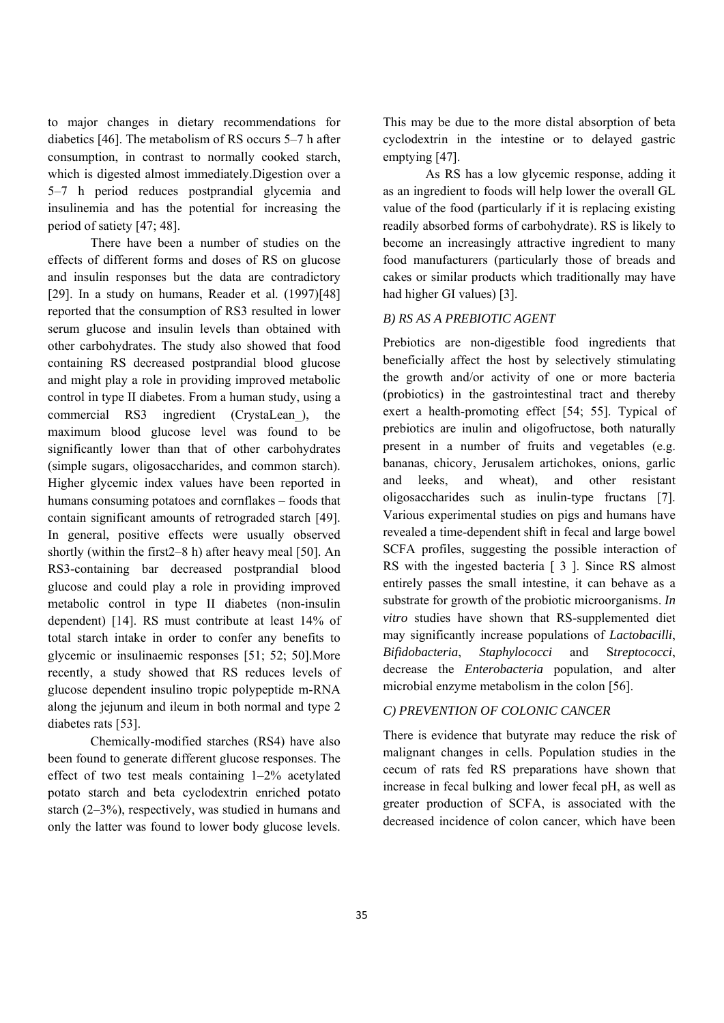to major changes in dietary recommendations for diabetics [46]. The metabolism of RS occurs 5–7 h after consumption, in contrast to normally cooked starch, which is digested almost immediately.Digestion over a 5–7 h period reduces postprandial glycemia and insulinemia and has the potential for increasing the period of satiety [47; 48].

There have been a number of studies on the effects of different forms and doses of RS on glucose and insulin responses but the data are contradictory [29]. In a study on humans, Reader et al.  $(1997)[48]$ reported that the consumption of RS3 resulted in lower serum glucose and insulin levels than obtained with other carbohydrates. The study also showed that food containing RS decreased postprandial blood glucose and might play a role in providing improved metabolic control in type II diabetes. From a human study, using a commercial RS3 ingredient (CrystaLean\_), the maximum blood glucose level was found to be significantly lower than that of other carbohydrates (simple sugars, oligosaccharides, and common starch). Higher glycemic index values have been reported in humans consuming potatoes and cornflakes – foods that contain significant amounts of retrograded starch [49]. In general, positive effects were usually observed shortly (within the first2–8 h) after heavy meal [50]. An RS3-containing bar decreased postprandial blood glucose and could play a role in providing improved metabolic control in type II diabetes (non-insulin dependent) [14]. RS must contribute at least 14% of total starch intake in order to confer any benefits to glycemic or insulinaemic responses [51; 52; 50].More recently, a study showed that RS reduces levels of glucose dependent insulino tropic polypeptide m-RNA along the jejunum and ileum in both normal and type 2 diabetes rats [53].

Chemically-modified starches (RS4) have also been found to generate different glucose responses. The effect of two test meals containing 1–2% acetylated potato starch and beta cyclodextrin enriched potato starch (2–3%), respectively, was studied in humans and only the latter was found to lower body glucose levels.

This may be due to the more distal absorption of beta cyclodextrin in the intestine or to delayed gastric emptying [47].

As RS has a low glycemic response, adding it as an ingredient to foods will help lower the overall GL value of the food (particularly if it is replacing existing readily absorbed forms of carbohydrate). RS is likely to become an increasingly attractive ingredient to many food manufacturers (particularly those of breads and cakes or similar products which traditionally may have had higher GI values) [3].

# *B) RS AS A PREBIOTIC AGENT*

Prebiotics are non-digestible food ingredients that beneficially affect the host by selectively stimulating the growth and/or activity of one or more bacteria (probiotics) in the gastrointestinal tract and thereby exert a health-promoting effect [54; 55]. Typical of prebiotics are inulin and oligofructose, both naturally present in a number of fruits and vegetables (e.g. bananas, chicory, Jerusalem artichokes, onions, garlic and leeks, and wheat), and other resistant oligosaccharides such as inulin-type fructans [7]. Various experimental studies on pigs and humans have revealed a time-dependent shift in fecal and large bowel SCFA profiles, suggesting the possible interaction of RS with the ingested bacteria [ 3 ]. Since RS almost entirely passes the small intestine, it can behave as a substrate for growth of the probiotic microorganisms. *In vitro* studies have shown that RS-supplemented diet may significantly increase populations of *Lactobacilli*, *Bifidobacteria*, *Staphylococci* and S*treptococci*, decrease the *Enterobacteria* population, and alter microbial enzyme metabolism in the colon [56].

# *C) PREVENTION OF COLONIC CANCER*

There is evidence that butyrate may reduce the risk of malignant changes in cells. Population studies in the cecum of rats fed RS preparations have shown that increase in fecal bulking and lower fecal pH, as well as greater production of SCFA, is associated with the decreased incidence of colon cancer, which have been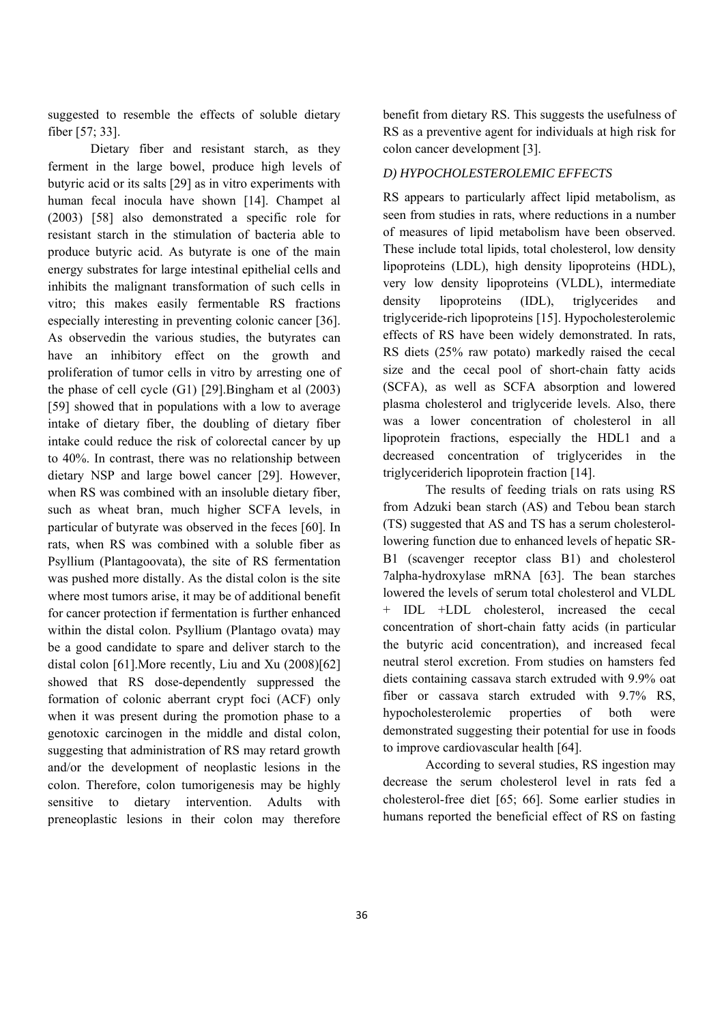suggested to resemble the effects of soluble dietary fiber [57; 33].

Dietary fiber and resistant starch, as they ferment in the large bowel, produce high levels of butyric acid or its salts [29] as in vitro experiments with human fecal inocula have shown [14]. Champet al (2003) [58] also demonstrated a specific role for resistant starch in the stimulation of bacteria able to produce butyric acid. As butyrate is one of the main energy substrates for large intestinal epithelial cells and inhibits the malignant transformation of such cells in vitro; this makes easily fermentable RS fractions especially interesting in preventing colonic cancer [36]. As observedin the various studies, the butyrates can have an inhibitory effect on the growth and proliferation of tumor cells in vitro by arresting one of the phase of cell cycle (G1) [29].Bingham et al (2003) [59] showed that in populations with a low to average intake of dietary fiber, the doubling of dietary fiber intake could reduce the risk of colorectal cancer by up to 40%. In contrast, there was no relationship between dietary NSP and large bowel cancer [29]. However, when RS was combined with an insoluble dietary fiber, such as wheat bran, much higher SCFA levels, in particular of butyrate was observed in the feces [60]. In rats, when RS was combined with a soluble fiber as Psyllium (Plantagoovata), the site of RS fermentation was pushed more distally. As the distal colon is the site where most tumors arise, it may be of additional benefit for cancer protection if fermentation is further enhanced within the distal colon. Psyllium (Plantago ovata) may be a good candidate to spare and deliver starch to the distal colon [61].More recently, Liu and Xu (2008)[62] showed that RS dose-dependently suppressed the formation of colonic aberrant crypt foci (ACF) only when it was present during the promotion phase to a genotoxic carcinogen in the middle and distal colon, suggesting that administration of RS may retard growth and/or the development of neoplastic lesions in the colon. Therefore, colon tumorigenesis may be highly sensitive to dietary intervention. Adults with preneoplastic lesions in their colon may therefore benefit from dietary RS. This suggests the usefulness of RS as a preventive agent for individuals at high risk for colon cancer development [3].

#### *D) HYPOCHOLESTEROLEMIC EFFECTS*

RS appears to particularly affect lipid metabolism, as seen from studies in rats, where reductions in a number of measures of lipid metabolism have been observed. These include total lipids, total cholesterol, low density lipoproteins (LDL), high density lipoproteins (HDL), very low density lipoproteins (VLDL), intermediate density lipoproteins (IDL), triglycerides and triglyceride-rich lipoproteins [15]. Hypocholesterolemic effects of RS have been widely demonstrated. In rats, RS diets (25% raw potato) markedly raised the cecal size and the cecal pool of short-chain fatty acids (SCFA), as well as SCFA absorption and lowered plasma cholesterol and triglyceride levels. Also, there was a lower concentration of cholesterol in all lipoprotein fractions, especially the HDL1 and a decreased concentration of triglycerides in the triglyceriderich lipoprotein fraction [14].

The results of feeding trials on rats using RS from Adzuki bean starch (AS) and Tebou bean starch (TS) suggested that AS and TS has a serum cholesterollowering function due to enhanced levels of hepatic SR-B1 (scavenger receptor class B1) and cholesterol 7alpha-hydroxylase mRNA [63]. The bean starches lowered the levels of serum total cholesterol and VLDL + IDL +LDL cholesterol, increased the cecal concentration of short-chain fatty acids (in particular the butyric acid concentration), and increased fecal neutral sterol excretion. From studies on hamsters fed diets containing cassava starch extruded with 9.9% oat fiber or cassava starch extruded with 9.7% RS, hypocholesterolemic properties of both were demonstrated suggesting their potential for use in foods to improve cardiovascular health [64].

According to several studies, RS ingestion may decrease the serum cholesterol level in rats fed a cholesterol-free diet [65; 66]. Some earlier studies in humans reported the beneficial effect of RS on fasting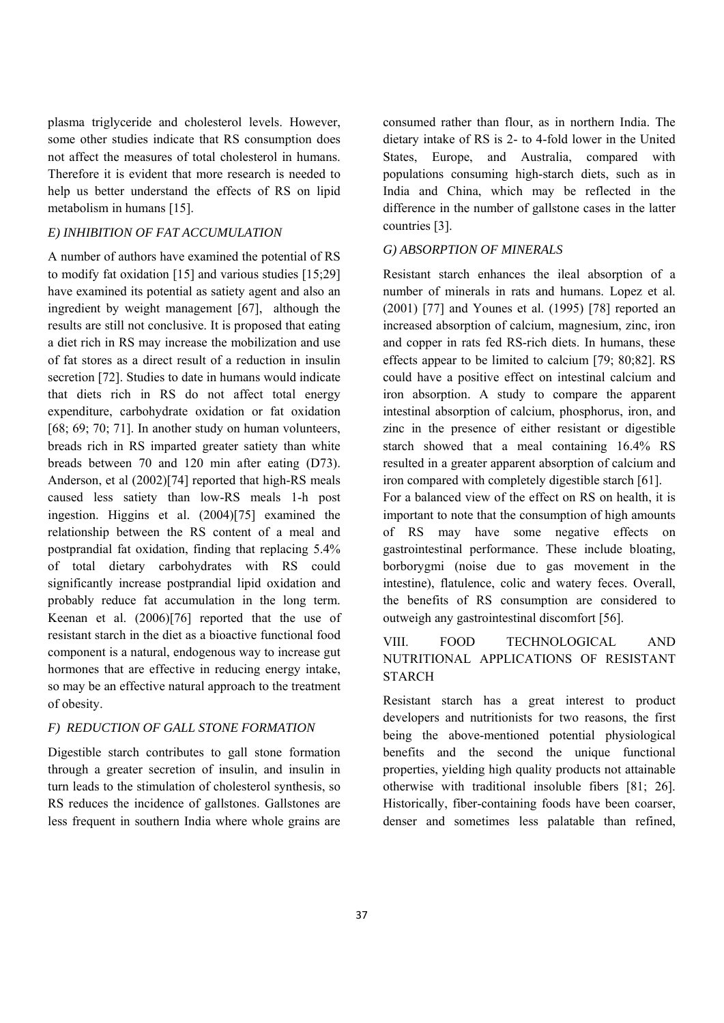plasma triglyceride and cholesterol levels. However, some other studies indicate that RS consumption does not affect the measures of total cholesterol in humans. Therefore it is evident that more research is needed to help us better understand the effects of RS on lipid metabolism in humans [15].

# *E) INHIBITION OF FAT ACCUMULATION*

A number of authors have examined the potential of RS to modify fat oxidation [15] and various studies [15;29] have examined its potential as satiety agent and also an ingredient by weight management [67], although the results are still not conclusive. It is proposed that eating a diet rich in RS may increase the mobilization and use of fat stores as a direct result of a reduction in insulin secretion [72]. Studies to date in humans would indicate that diets rich in RS do not affect total energy expenditure, carbohydrate oxidation or fat oxidation  $[68; 69; 70; 71]$ . In another study on human volunteers, breads rich in RS imparted greater satiety than white breads between 70 and 120 min after eating (D73). Anderson, et al (2002)[74] reported that high-RS meals caused less satiety than low-RS meals 1-h post ingestion. Higgins et al. (2004)[75] examined the relationship between the RS content of a meal and postprandial fat oxidation, finding that replacing 5.4% of total dietary carbohydrates with RS could significantly increase postprandial lipid oxidation and probably reduce fat accumulation in the long term. Keenan et al. (2006)[76] reported that the use of resistant starch in the diet as a bioactive functional food component is a natural, endogenous way to increase gut hormones that are effective in reducing energy intake, so may be an effective natural approach to the treatment of obesity.

# *F) REDUCTION OF GALL STONE FORMATION*

Digestible starch contributes to gall stone formation through a greater secretion of insulin, and insulin in turn leads to the stimulation of cholesterol synthesis, so RS reduces the incidence of gallstones. Gallstones are less frequent in southern India where whole grains are

consumed rather than flour, as in northern India. The dietary intake of RS is 2- to 4-fold lower in the United States, Europe, and Australia, compared with populations consuming high-starch diets, such as in India and China, which may be reflected in the difference in the number of gallstone cases in the latter countries [3].

# *G) ABSORPTION OF MINERALS*

Resistant starch enhances the ileal absorption of a number of minerals in rats and humans. Lopez et al. (2001) [77] and Younes et al. (1995) [78] reported an increased absorption of calcium, magnesium, zinc, iron and copper in rats fed RS-rich diets. In humans, these effects appear to be limited to calcium [79; 80;82]. RS could have a positive effect on intestinal calcium and iron absorption. A study to compare the apparent intestinal absorption of calcium, phosphorus, iron, and zinc in the presence of either resistant or digestible starch showed that a meal containing 16.4% RS resulted in a greater apparent absorption of calcium and iron compared with completely digestible starch [61].

For a balanced view of the effect on RS on health, it is important to note that the consumption of high amounts of RS may have some negative effects on gastrointestinal performance. These include bloating, borborygmi (noise due to gas movement in the intestine), flatulence, colic and watery feces. Overall, the benefits of RS consumption are considered to outweigh any gastrointestinal discomfort [56].

# VIII. FOOD TECHNOLOGICAL AND NUTRITIONAL APPLICATIONS OF RESISTANT STARCH

Resistant starch has a great interest to product developers and nutritionists for two reasons, the first being the above-mentioned potential physiological benefits and the second the unique functional properties, yielding high quality products not attainable otherwise with traditional insoluble fibers [81; 26]. Historically, fiber-containing foods have been coarser, denser and sometimes less palatable than refined,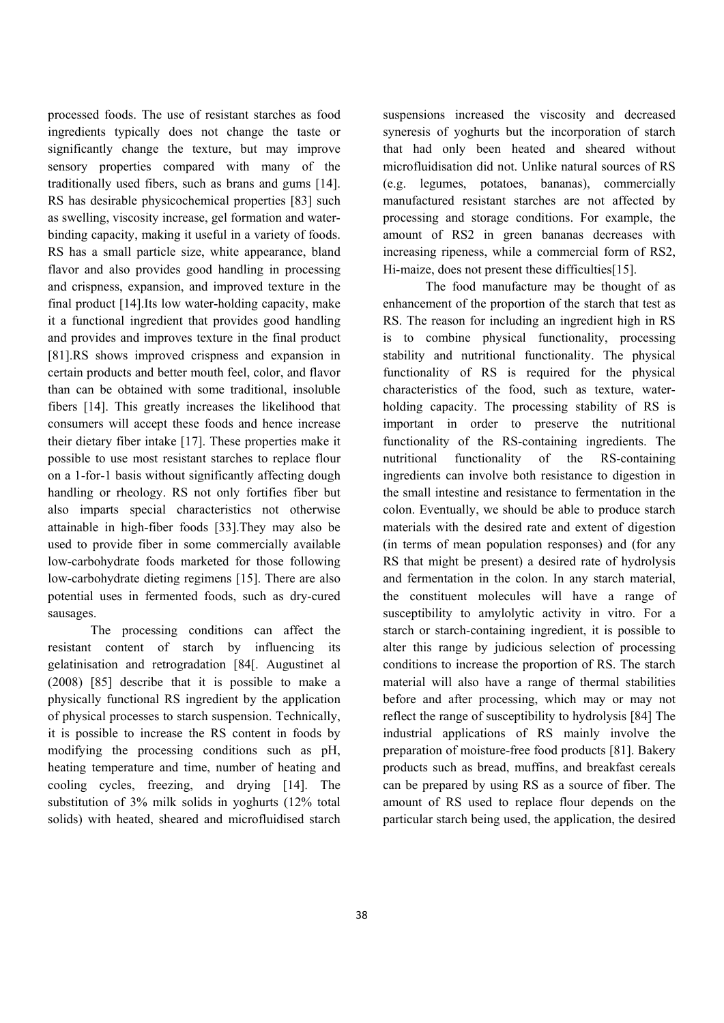processed foods. The use of resistant starches as food ingredients typically does not change the taste or significantly change the texture, but may improve sensory properties compared with many of the traditionally used fibers, such as brans and gums [14]. RS has desirable physicochemical properties [83] such as swelling, viscosity increase, gel formation and waterbinding capacity, making it useful in a variety of foods. RS has a small particle size, white appearance, bland flavor and also provides good handling in processing and crispness, expansion, and improved texture in the final product [14].Its low water-holding capacity, make it a functional ingredient that provides good handling and provides and improves texture in the final product [81].RS shows improved crispness and expansion in certain products and better mouth feel, color, and flavor than can be obtained with some traditional, insoluble fibers [14]. This greatly increases the likelihood that consumers will accept these foods and hence increase their dietary fiber intake [17]. These properties make it possible to use most resistant starches to replace flour on a 1-for-1 basis without significantly affecting dough handling or rheology. RS not only fortifies fiber but also imparts special characteristics not otherwise attainable in high-fiber foods [33].They may also be used to provide fiber in some commercially available low-carbohydrate foods marketed for those following low-carbohydrate dieting regimens [15]. There are also potential uses in fermented foods, such as dry-cured sausages.

The processing conditions can affect the resistant content of starch by influencing its gelatinisation and retrogradation [84[. Augustinet al (2008) [85] describe that it is possible to make a physically functional RS ingredient by the application of physical processes to starch suspension. Technically, it is possible to increase the RS content in foods by modifying the processing conditions such as pH, heating temperature and time, number of heating and cooling cycles, freezing, and drying [14]. The substitution of 3% milk solids in yoghurts (12% total solids) with heated, sheared and microfluidised starch

suspensions increased the viscosity and decreased syneresis of yoghurts but the incorporation of starch that had only been heated and sheared without microfluidisation did not. Unlike natural sources of RS (e.g. legumes, potatoes, bananas), commercially manufactured resistant starches are not affected by processing and storage conditions. For example, the amount of RS2 in green bananas decreases with increasing ripeness, while a commercial form of RS2, Hi-maize, does not present these difficulties[15].

The food manufacture may be thought of as enhancement of the proportion of the starch that test as RS. The reason for including an ingredient high in RS is to combine physical functionality, processing stability and nutritional functionality. The physical functionality of RS is required for the physical characteristics of the food, such as texture, waterholding capacity. The processing stability of RS is important in order to preserve the nutritional functionality of the RS-containing ingredients. The nutritional functionality of the RS-containing ingredients can involve both resistance to digestion in the small intestine and resistance to fermentation in the colon. Eventually, we should be able to produce starch materials with the desired rate and extent of digestion (in terms of mean population responses) and (for any RS that might be present) a desired rate of hydrolysis and fermentation in the colon. In any starch material, the constituent molecules will have a range of susceptibility to amylolytic activity in vitro. For a starch or starch-containing ingredient, it is possible to alter this range by judicious selection of processing conditions to increase the proportion of RS. The starch material will also have a range of thermal stabilities before and after processing, which may or may not reflect the range of susceptibility to hydrolysis [84] The industrial applications of RS mainly involve the preparation of moisture-free food products [81]. Bakery products such as bread, muffins, and breakfast cereals can be prepared by using RS as a source of fiber. The amount of RS used to replace flour depends on the particular starch being used, the application, the desired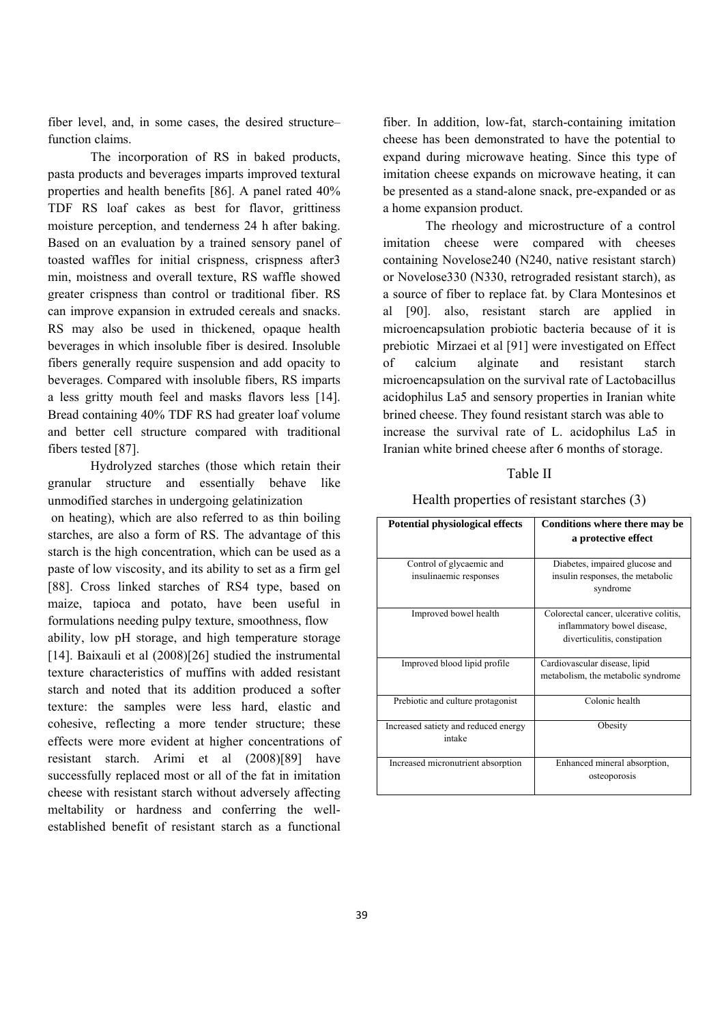fiber level, and, in some cases, the desired structure– function claims.

The incorporation of RS in baked products, pasta products and beverages imparts improved textural properties and health benefits [86]. A panel rated 40% TDF RS loaf cakes as best for flavor, grittiness moisture perception, and tenderness 24 h after baking. Based on an evaluation by a trained sensory panel of toasted waffles for initial crispness, crispness after3 min, moistness and overall texture, RS waffle showed greater crispness than control or traditional fiber. RS can improve expansion in extruded cereals and snacks. RS may also be used in thickened, opaque health beverages in which insoluble fiber is desired. Insoluble fibers generally require suspension and add opacity to beverages. Compared with insoluble fibers, RS imparts a less gritty mouth feel and masks flavors less [14]. Bread containing 40% TDF RS had greater loaf volume and better cell structure compared with traditional fibers tested [87].

Hydrolyzed starches (those which retain their granular structure and essentially behave like unmodified starches in undergoing gelatinization on heating), which are also referred to as thin boiling starches, are also a form of RS. The advantage of this starch is the high concentration, which can be used as a paste of low viscosity, and its ability to set as a firm gel [88]. Cross linked starches of RS4 type, based on maize, tapioca and potato, have been useful in formulations needing pulpy texture, smoothness, flow ability, low pH storage, and high temperature storage [14]. Baixauli et al (2008)[26] studied the instrumental texture characteristics of muffins with added resistant starch and noted that its addition produced a softer texture: the samples were less hard, elastic and cohesive, reflecting a more tender structure; these effects were more evident at higher concentrations of resistant starch. Arimi et al (2008)[89] have successfully replaced most or all of the fat in imitation cheese with resistant starch without adversely affecting meltability or hardness and conferring the wellestablished benefit of resistant starch as a functional

fiber. In addition, low-fat, starch-containing imitation cheese has been demonstrated to have the potential to expand during microwave heating. Since this type of imitation cheese expands on microwave heating, it can be presented as a stand-alone snack, pre-expanded or as a home expansion product.

The rheology and microstructure of a control imitation cheese were compared with cheeses containing Novelose240 (N240, native resistant starch) or Novelose330 (N330, retrograded resistant starch), as a source of fiber to replace fat. by Clara Montesinos et al [90]. also, resistant starch are applied in microencapsulation probiotic bacteria because of it is prebiotic Mirzaei et al [91] were investigated on Effect of calcium alginate and resistant starch microencapsulation on the survival rate of Lactobacillus acidophilus La5 and sensory properties in Iranian white brined cheese. They found resistant starch was able to increase the survival rate of L. acidophilus La5 in Iranian white brined cheese after 6 months of storage.

# Table II

# Health properties of resistant starches (3)

| Potential physiological effects                    | Conditions where there may be<br>a protective effect                                                  |
|----------------------------------------------------|-------------------------------------------------------------------------------------------------------|
| Control of glycaemic and<br>insulinaemic responses | Diabetes, impaired glucose and<br>insulin responses, the metabolic<br>syndrome                        |
| Improved bowel health                              | Colorectal cancer, ulcerative colitis,<br>inflammatory bowel disease,<br>diverticulitis, constipation |
| Improved blood lipid profile                       | Cardiovascular disease, lipid<br>metabolism, the metabolic syndrome                                   |
| Prebiotic and culture protagonist                  | Colonic health                                                                                        |
| Increased satiety and reduced energy<br>intake     | Obesity                                                                                               |
| Increased micronutrient absorption                 | Enhanced mineral absorption,<br>osteoporosis                                                          |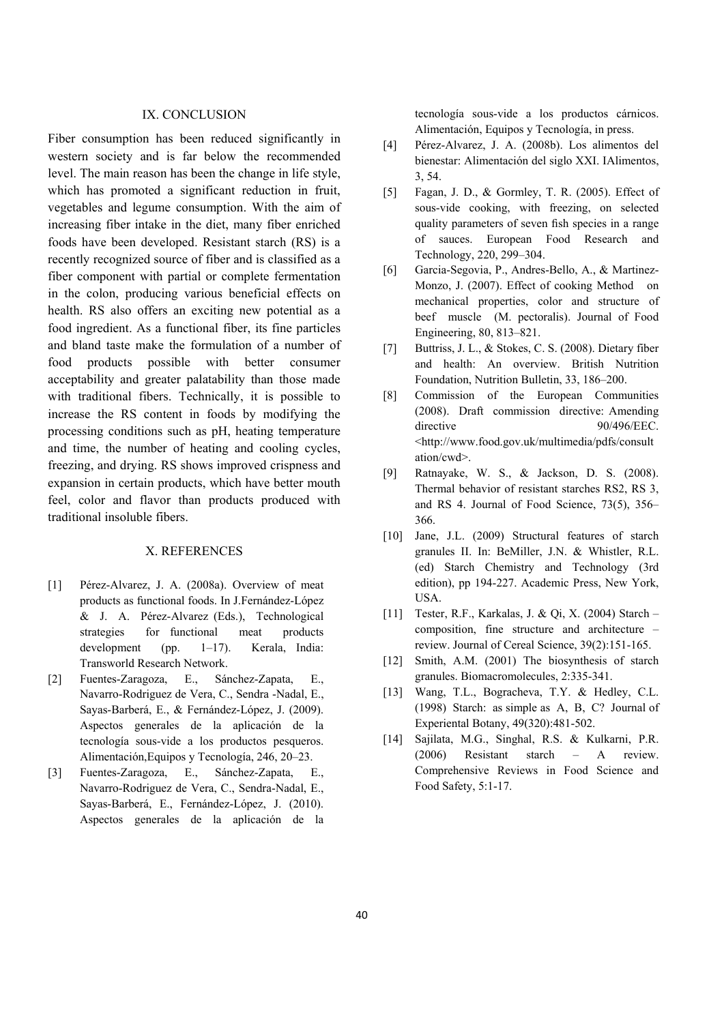#### IX. CONCLUSION

Fiber consumption has been reduced significantly in western society and is far below the recommended level. The main reason has been the change in life style, which has promoted a significant reduction in fruit, vegetables and legume consumption. With the aim of increasing fiber intake in the diet, many fiber enriched foods have been developed. Resistant starch (RS) is a recently recognized source of fiber and is classified as a fiber component with partial or complete fermentation in the colon, producing various beneficial effects on health. RS also offers an exciting new potential as a food ingredient. As a functional fiber, its fine particles and bland taste make the formulation of a number of food products possible with better consumer acceptability and greater palatability than those made with traditional fibers. Technically, it is possible to increase the RS content in foods by modifying the processing conditions such as pH, heating temperature and time, the number of heating and cooling cycles, freezing, and drying. RS shows improved crispness and expansion in certain products, which have better mouth feel, color and flavor than products produced with traditional insoluble fibers.

#### X. REFERENCES

- [1] Pérez-Alvarez, J. A. (2008a). Overview of meat products as functional foods. In J.Fernández-López & J. A. Pérez-Alvarez (Eds.), Technological strategies for functional meat products development (pp. 1–17). Kerala, India: Transworld Research Network.
- [2] Fuentes-Zaragoza, E., Sánchez-Zapata, E., Navarro-Rodriguez de Vera, C., Sendra -Nadal, E., Sayas-Barberá, E., & Fernández-López, J. (2009). Aspectos generales de la aplicación de la tecnología sous-vide a los productos pesqueros. Alimentación,Equipos y Tecnología, 246, 20–23.
- [3] Fuentes-Zaragoza, E., Sánchez-Zapata, E., Navarro-Rodriguez de Vera, C., Sendra-Nadal, E., Sayas-Barberá, E., Fernández-López, J. (2010). Aspectos generales de la aplicación de la

tecnología sous-vide a los productos cárnicos. Alimentación, Equipos y Tecnología, in press.

- [4] Pérez-Alvarez, J. A. (2008b). Los alimentos del bienestar: Alimentación del siglo XXI. IAlimentos, 3, 54.
- [5] Fagan, J. D., & Gormley, T. R. (2005). Effect of sous-vide cooking, with freezing, on selected quality parameters of seven fish species in a range of sauces. European Food Research and Technology, 220, 299–304.
- [6] Garcia-Segovia, P., Andres-Bello, A., & Martinez-Monzo, J. (2007). Effect of cooking Method on mechanical properties, color and structure of beef muscle (M. pectoralis). Journal of Food Engineering, 80, 813–821.
- [7] Buttriss, J. L., & Stokes, C. S. (2008). Dietary fiber and health: An overview. British Nutrition Foundation, Nutrition Bulletin, 33, 186–200.
- [8] Commission of the European Communities (2008). Draft commission directive: Amending directive 90/496/EEC. <http://www.food.gov.uk/multimedia/pdfs/consult ation/cwd>.
- [9] Ratnayake, W. S., & Jackson, D. S. (2008). Thermal behavior of resistant starches RS2, RS 3, and RS 4. Journal of Food Science, 73(5), 356– 366.
- [10] Jane, J.L. (2009) Structural features of starch granules II. In: BeMiller, J.N. & Whistler, R.L. (ed) Starch Chemistry and Technology (3rd edition), pp 194-227. Academic Press, New York, USA.
- [11] Tester, R.F., Karkalas, J. & Qi, X. (2004) Starch composition, fine structure and architecture – review. Journal of Cereal Science, 39(2):151-165.
- [12] Smith, A.M. (2001) The biosynthesis of starch granules. Biomacromolecules, 2:335-341.
- [13] Wang, T.L., Bogracheva, T.Y. & Hedley, C.L. (1998) Starch: as simple as A, B, C? Journal of Experiental Botany, 49(320):481-502.
- [14] Sajilata, M.G., Singhal, R.S. & Kulkarni, P.R. (2006) Resistant starch – A review. Comprehensive Reviews in Food Science and Food Safety, 5:1-17.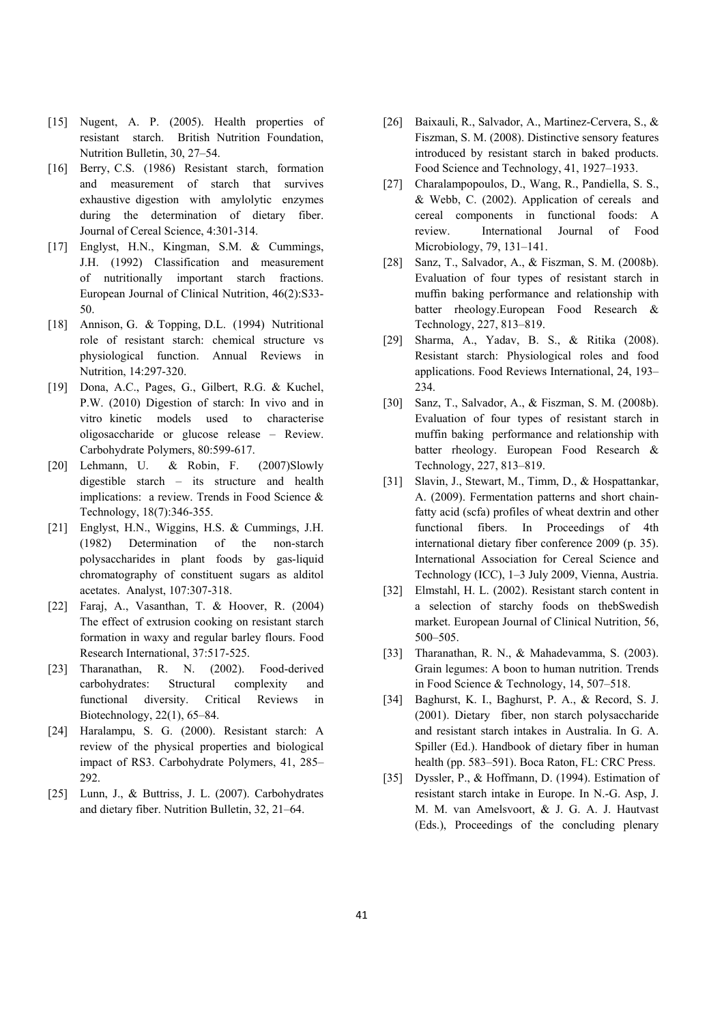- [15] Nugent, A. P. (2005). Health properties of resistant starch. British Nutrition Foundation, Nutrition Bulletin, 30, 27–54.
- [16] Berry, C.S. (1986) Resistant starch, formation and measurement of starch that survives exhaustive digestion with amylolytic enzymes during the determination of dietary fiber. Journal of Cereal Science, 4:301-314.
- [17] Englyst, H.N., Kingman, S.M. & Cummings, J.H. (1992) Classification and measurement of nutritionally important starch fractions. European Journal of Clinical Nutrition, 46(2):S33- 50.
- [18] Annison, G. & Topping, D.L. (1994) Nutritional role of resistant starch: chemical structure vs physiological function. Annual Reviews in Nutrition, 14:297-320.
- [19] Dona, A.C., Pages, G., Gilbert, R.G. & Kuchel, P.W. (2010) Digestion of starch: In vivo and in vitro kinetic models used to characterise oligosaccharide or glucose release – Review. Carbohydrate Polymers, 80:599-617.
- [20] Lehmann, U. & Robin, F. (2007)Slowly digestible starch – its structure and health implications: a review. Trends in Food Science & Technology, 18(7):346-355.
- [21] Englyst, H.N., Wiggins, H.S. & Cummings, J.H. (1982) Determination of the non-starch polysaccharides in plant foods by gas-liquid chromatography of constituent sugars as alditol acetates. Analyst, 107:307-318.
- [22] Faraj, A., Vasanthan, T. & Hoover, R. (2004) The effect of extrusion cooking on resistant starch formation in waxy and regular barley flours. Food Research International, 37:517-525.
- [23] Tharanathan, R. N. (2002). Food-derived carbohydrates: Structural complexity and functional diversity. Critical Reviews in Biotechnology, 22(1), 65–84.
- [24] Haralampu, S. G. (2000). Resistant starch: A review of the physical properties and biological impact of RS3. Carbohydrate Polymers, 41, 285– 292.
- [25] Lunn, J., & Buttriss, J. L. (2007). Carbohydrates and dietary fiber. Nutrition Bulletin, 32, 21–64.
- [26] Baixauli, R., Salvador, A., Martinez-Cervera, S., & Fiszman, S. M. (2008). Distinctive sensory features introduced by resistant starch in baked products. Food Science and Technology, 41, 1927–1933.
- [27] Charalampopoulos, D., Wang, R., Pandiella, S. S., & Webb, C. (2002). Application of cereals and cereal components in functional foods: A review. International Journal of Food Microbiology, 79, 131–141.
- [28] Sanz, T., Salvador, A., & Fiszman, S. M. (2008b). Evaluation of four types of resistant starch in muffin baking performance and relationship with batter rheology.European Food Research & Technology, 227, 813–819.
- [29] Sharma, A., Yadav, B. S., & Ritika (2008). Resistant starch: Physiological roles and food applications. Food Reviews International, 24, 193– 234.
- [30] Sanz, T., Salvador, A., & Fiszman, S. M. (2008b). Evaluation of four types of resistant starch in muffin baking performance and relationship with batter rheology. European Food Research & Technology, 227, 813–819.
- [31] Slavin, J., Stewart, M., Timm, D., & Hospattankar, A. (2009). Fermentation patterns and short chainfatty acid (scfa) profiles of wheat dextrin and other functional fibers. In Proceedings of 4th international dietary fiber conference 2009 (p. 35). International Association for Cereal Science and Technology (ICC), 1–3 July 2009, Vienna, Austria.
- [32] Elmstahl, H. L. (2002). Resistant starch content in a selection of starchy foods on thebSwedish market. European Journal of Clinical Nutrition, 56, 500–505.
- [33] Tharanathan, R. N., & Mahadevamma, S. (2003). Grain legumes: A boon to human nutrition. Trends in Food Science & Technology, 14, 507–518.
- [34] Baghurst, K. I., Baghurst, P. A., & Record, S. J. (2001). Dietary fiber, non starch polysaccharide and resistant starch intakes in Australia. In G. A. Spiller (Ed.). Handbook of dietary fiber in human health (pp. 583–591). Boca Raton, FL: CRC Press.
- [35] Dyssler, P., & Hoffmann, D. (1994). Estimation of resistant starch intake in Europe. In N.-G. Asp, J. M. M. van Amelsvoort, & J. G. A. J. Hautvast (Eds.), Proceedings of the concluding plenary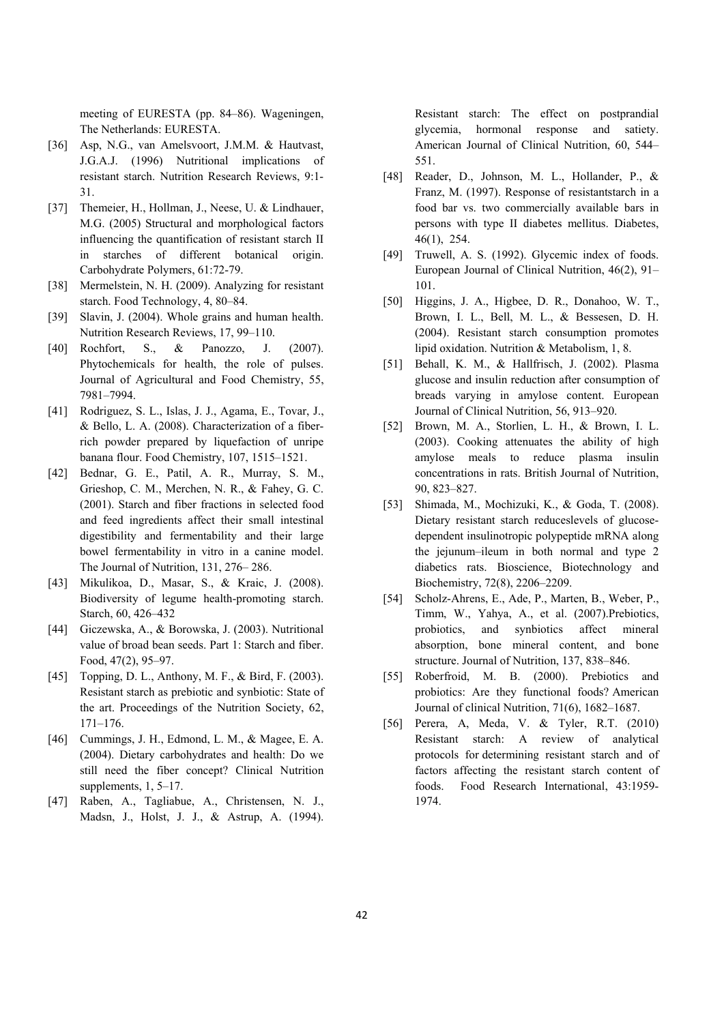meeting of EURESTA (pp. 84–86). Wageningen, The Netherlands: EURESTA.

- [36] Asp, N.G., van Amelsvoort, J.M.M. & Hautvast, J.G.A.J. (1996) Nutritional implications of resistant starch. Nutrition Research Reviews, 9:1- 31.
- [37] Themeier, H., Hollman, J., Neese, U. & Lindhauer, M.G. (2005) Structural and morphological factors influencing the quantification of resistant starch II in starches of different botanical origin. Carbohydrate Polymers, 61:72-79.
- [38] Mermelstein, N. H. (2009). Analyzing for resistant starch. Food Technology, 4, 80–84.
- [39] Slavin, J. (2004). Whole grains and human health. Nutrition Research Reviews, 17, 99–110.
- [40] Rochfort, S., & Panozzo, J. (2007). Phytochemicals for health, the role of pulses. Journal of Agricultural and Food Chemistry, 55, 7981–7994.
- [41] Rodriguez, S. L., Islas, J. J., Agama, E., Tovar, J., & Bello, L. A. (2008). Characterization of a fiberrich powder prepared by liquefaction of unripe banana flour. Food Chemistry, 107, 1515–1521.
- [42] Bednar, G. E., Patil, A. R., Murray, S. M., Grieshop, C. M., Merchen, N. R., & Fahey, G. C. (2001). Starch and fiber fractions in selected food and feed ingredients affect their small intestinal digestibility and fermentability and their large bowel fermentability in vitro in a canine model. The Journal of Nutrition, 131, 276– 286.
- [43] Mikulikoa, D., Masar, S., & Kraic, J. (2008). Biodiversity of legume health-promoting starch. Starch, 60, 426–432
- [44] Giczewska, A., & Borowska, J. (2003). Nutritional value of broad bean seeds. Part 1: Starch and fiber. Food, 47(2), 95–97.
- [45] Topping, D. L., Anthony, M. F., & Bird, F. (2003). Resistant starch as prebiotic and synbiotic: State of the art. Proceedings of the Nutrition Society, 62, 171–176.
- [46] Cummings, J. H., Edmond, L. M., & Magee, E. A. (2004). Dietary carbohydrates and health: Do we still need the fiber concept? Clinical Nutrition supplements, 1, 5–17.
- [47] Raben, A., Tagliabue, A., Christensen, N. J., Madsn, J., Holst, J. J., & Astrup, A. (1994).

Resistant starch: The effect on postprandial glycemia, hormonal response and satiety. American Journal of Clinical Nutrition, 60, 544– 551.

- [48] Reader, D., Johnson, M. L., Hollander, P., & Franz, M. (1997). Response of resistantstarch in a food bar vs. two commercially available bars in persons with type II diabetes mellitus. Diabetes, 46(1), 254.
- [49] Truwell, A. S. (1992). Glycemic index of foods. European Journal of Clinical Nutrition, 46(2), 91– 101.
- [50] Higgins, J. A., Higbee, D. R., Donahoo, W. T., Brown, I. L., Bell, M. L., & Bessesen, D. H. (2004). Resistant starch consumption promotes lipid oxidation. Nutrition & Metabolism, 1, 8.
- [51] Behall, K. M., & Hallfrisch, J. (2002). Plasma glucose and insulin reduction after consumption of breads varying in amylose content. European Journal of Clinical Nutrition, 56, 913–920.
- [52] Brown, M. A., Storlien, L. H., & Brown, I. L. (2003). Cooking attenuates the ability of high amylose meals to reduce plasma insulin concentrations in rats. British Journal of Nutrition, 90, 823–827.
- [53] Shimada, M., Mochizuki, K., & Goda, T. (2008). Dietary resistant starch reduceslevels of glucosedependent insulinotropic polypeptide mRNA along the jejunum–ileum in both normal and type 2 diabetics rats. Bioscience, Biotechnology and Biochemistry, 72(8), 2206–2209.
- [54] Scholz-Ahrens, E., Ade, P., Marten, B., Weber, P., Timm, W., Yahya, A., et al. (2007).Prebiotics, probiotics, and synbiotics affect mineral absorption, bone mineral content, and bone structure. Journal of Nutrition, 137, 838–846.
- [55] Roberfroid, M. B. (2000). Prebiotics and probiotics: Are they functional foods? American Journal of clinical Nutrition, 71(6), 1682–1687.
- [56] Perera, A, Meda, V. & Tyler, R.T. (2010) Resistant starch: A review of analytical protocols for determining resistant starch and of factors affecting the resistant starch content of foods. Food Research International, 43:1959- 1974.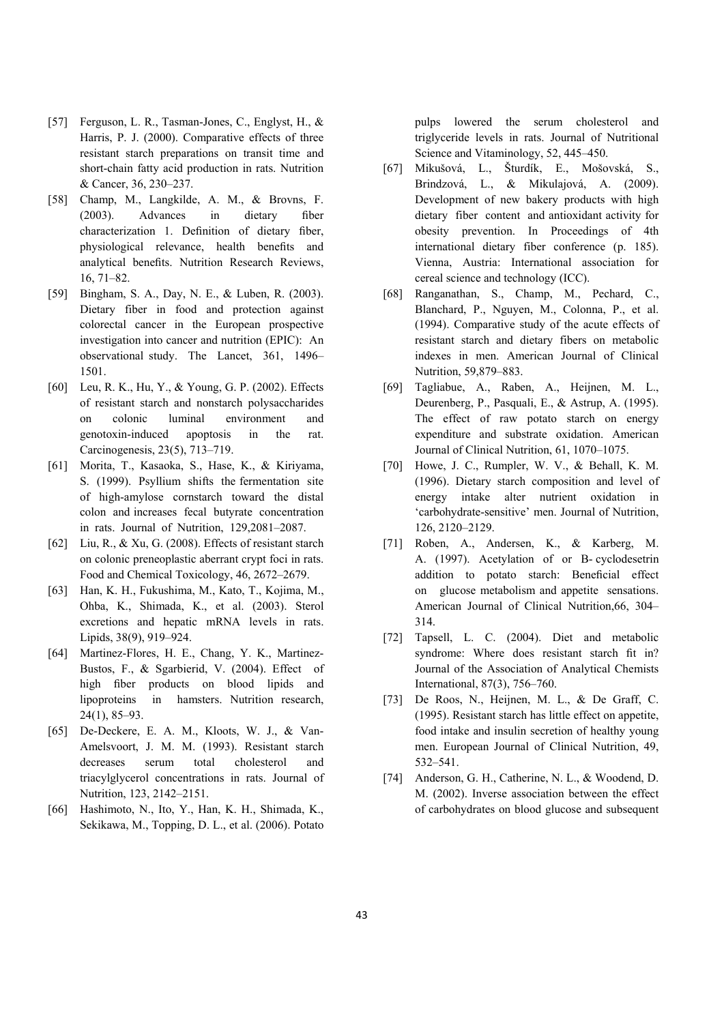- [57] Ferguson, L. R., Tasman-Jones, C., Englyst, H., & Harris, P. J. (2000). Comparative effects of three resistant starch preparations on transit time and short-chain fatty acid production in rats. Nutrition & Cancer, 36, 230–237.
- [58] Champ, M., Langkilde, A. M., & Brovns, F. (2003). Advances in dietary fiber characterization 1. Definition of dietary fiber, physiological relevance, health benefits and analytical benefits. Nutrition Research Reviews, 16, 71–82.
- [59] Bingham, S. A., Day, N. E., & Luben, R. (2003). Dietary fiber in food and protection against colorectal cancer in the European prospective investigation into cancer and nutrition (EPIC): An observational study. The Lancet, 361, 1496– 1501.
- [60] Leu, R. K., Hu, Y., & Young, G. P. (2002). Effects of resistant starch and nonstarch polysaccharides on colonic luminal environment and genotoxin-induced apoptosis in the rat. Carcinogenesis, 23(5), 713–719.
- [61] Morita, T., Kasaoka, S., Hase, K., & Kiriyama, S. (1999). Psyllium shifts the fermentation site of high-amylose cornstarch toward the distal colon and increases fecal butyrate concentration in rats. Journal of Nutrition, 129,2081–2087.
- [62] Liu, R., & Xu, G. (2008). Effects of resistant starch on colonic preneoplastic aberrant crypt foci in rats. Food and Chemical Toxicology, 46, 2672–2679.
- [63] Han, K. H., Fukushima, M., Kato, T., Kojima, M., Ohba, K., Shimada, K., et al. (2003). Sterol excretions and hepatic mRNA levels in rats. Lipids, 38(9), 919–924.
- [64] Martinez-Flores, H. E., Chang, Y. K., Martinez-Bustos, F., & Sgarbierid, V. (2004). Effect of high fiber products on blood lipids and lipoproteins in hamsters. Nutrition research, 24(1), 85–93.
- [65] De-Deckere, E. A. M., Kloots, W. J., & Van-Amelsvoort, J. M. M. (1993). Resistant starch decreases serum total cholesterol and triacylglycerol concentrations in rats. Journal of Nutrition, 123, 2142–2151.
- [66] Hashimoto, N., Ito, Y., Han, K. H., Shimada, K., Sekikawa, M., Topping, D. L., et al. (2006). Potato

pulps lowered the serum cholesterol and triglyceride levels in rats. Journal of Nutritional Science and Vitaminology, 52, 445–450.

- [67] Mikušová, L., Šturdík, E., Mošovská, S., Brindzová, L., & Mikulajová, A. (2009). Development of new bakery products with high dietary fiber content and antioxidant activity for obesity prevention. In Proceedings of 4th international dietary fiber conference (p. 185). Vienna, Austria: International association for cereal science and technology (ICC).
- [68] Ranganathan, S., Champ, M., Pechard, C., Blanchard, P., Nguyen, M., Colonna, P., et al. (1994). Comparative study of the acute effects of resistant starch and dietary fibers on metabolic indexes in men. American Journal of Clinical Nutrition, 59,879–883.
- [69] Tagliabue, A., Raben, A., Heijnen, M. L., Deurenberg, P., Pasquali, E., & Astrup, A. (1995). The effect of raw potato starch on energy expenditure and substrate oxidation. American Journal of Clinical Nutrition, 61, 1070–1075.
- [70] Howe, J. C., Rumpler, W. V., & Behall, K. M. (1996). Dietary starch composition and level of energy intake alter nutrient oxidation in 'carbohydrate-sensitive' men. Journal of Nutrition, 126, 2120–2129.
- [71] Roben, A., Andersen, K., & Karberg, M. A. (1997). Acetylation of or B- cyclodesetrin addition to potato starch: Beneficial effect on glucose metabolism and appetite sensations. American Journal of Clinical Nutrition,66, 304– 314.
- [72] Tapsell, L. C. (2004). Diet and metabolic syndrome: Where does resistant starch fit in? Journal of the Association of Analytical Chemists International, 87(3), 756–760.
- [73] De Roos, N., Heijnen, M. L., & De Graff, C. (1995). Resistant starch has little effect on appetite, food intake and insulin secretion of healthy young men. European Journal of Clinical Nutrition, 49, 532–541.
- [74] Anderson, G. H., Catherine, N. L., & Woodend, D. M. (2002). Inverse association between the effect of carbohydrates on blood glucose and subsequent